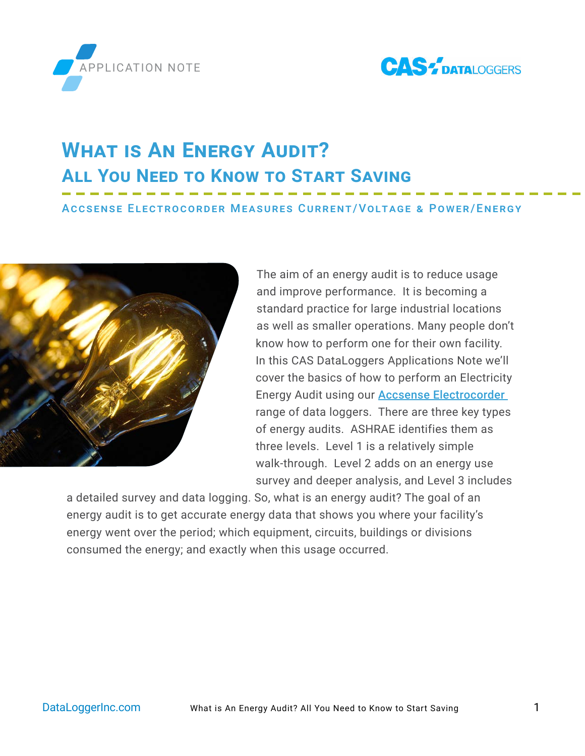



# **What is An Energy Audit? All You Need to Know to Start Saving**

#### Accsense Electrocorder Measures Current/Voltage & Power/Energy



The aim of an energy audit is to reduce usage and improve performance. It is becoming a standard practice for large industrial locations as well as smaller operations. Many people don't know how to perform one for their own facility. In this CAS DataLoggers Applications Note we'll cover the basics of how to perform an Electricity Energy Audit using our [Accsense Electrocorder](https://www.dataloggerinc.com/products/data-logger/manufacturer/accsense-electrocorder/)  range of data loggers. There are three key types of energy audits. ASHRAE identifies them as three levels. Level 1 is a relatively simple walk-through. Level 2 adds on an energy use survey and deeper analysis, and Level 3 includes

a detailed survey and data logging. So, what is an energy audit? The goal of an energy audit is to get accurate energy data that shows you where your facility's energy went over the period; which equipment, circuits, buildings or divisions consumed the energy; and exactly when this usage occurred.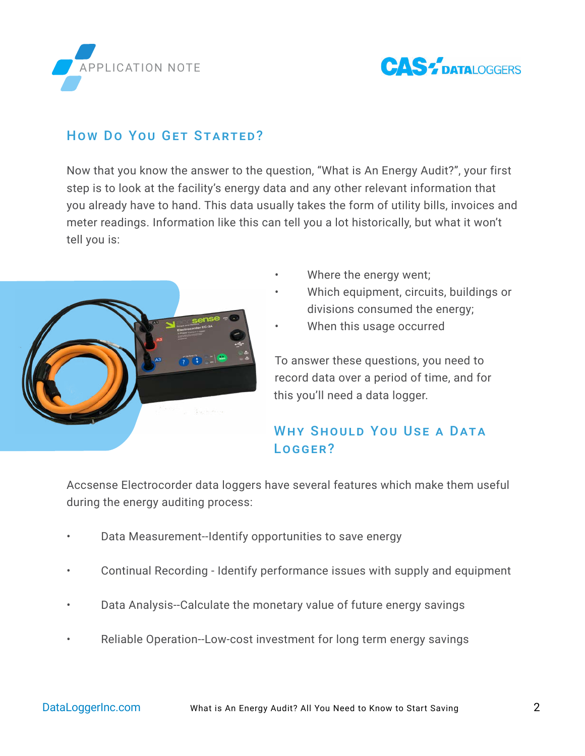



#### How Do You GET STARTED?

Now that you know the answer to the question, "What is An Energy Audit?", your first step is to look at the facility's energy data and any other relevant information that you already have to hand. This data usually takes the form of utility bills, invoices and meter readings. Information like this can tell you a lot historically, but what it won't tell you is:



- Where the energy went;
- Which equipment, circuits, buildings or divisions consumed the energy;
- When this usage occurred

To answer these questions, you need to record data over a period of time, and for this you'll need a data logger.

# WHY SHOULD YOU USE A DATA Logger?

Accsense Electrocorder data loggers have several features which make them useful during the energy auditing process:

- Data Measurement--Identify opportunities to save energy
- Continual Recording Identify performance issues with supply and equipment
- Data Analysis--Calculate the monetary value of future energy savings
- Reliable Operation--Low-cost investment for long term energy savings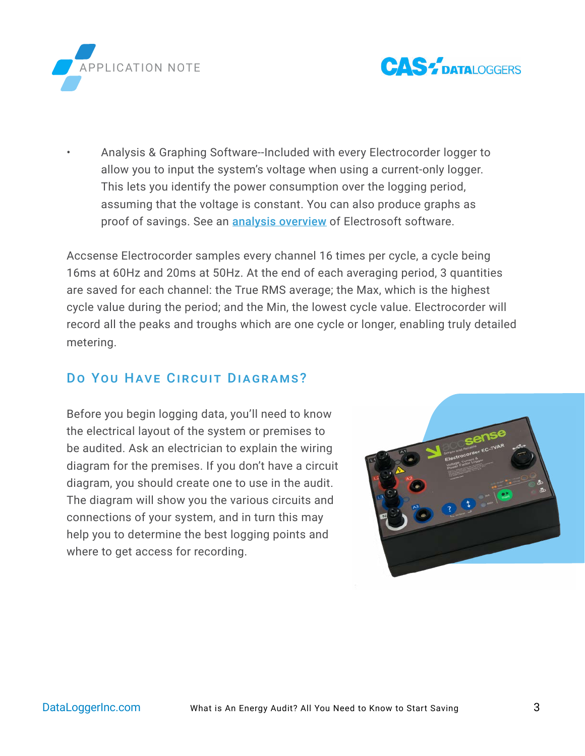



• Analysis & Graphing Software--Included with every Electrocorder logger to allow you to input the system's voltage when using a current-only logger. This lets you identify the power consumption over the logging period, assuming that the voltage is constant. You can also produce graphs as proof of savings. See an **[analysis overview](https://www.youtube.com/watch?v=665iP_mQiJg)** of Electrosoft software.

Accsense Electrocorder samples every channel 16 times per cycle, a cycle being 16ms at 60Hz and 20ms at 50Hz. At the end of each averaging period, 3 quantities are saved for each channel: the True RMS average; the Max, which is the highest cycle value during the period; and the Min, the lowest cycle value. Electrocorder will record all the peaks and troughs which are one cycle or longer, enabling truly detailed metering.

#### DO YOU HAVE CIRCUIT DIAGRAMS?

Before you begin logging data, you'll need to know the electrical layout of the system or premises to be audited. Ask an electrician to explain the wiring diagram for the premises. If you don't have a circuit diagram, you should create one to use in the audit. The diagram will show you the various circuits and connections of your system, and in turn this may help you to determine the best logging points and where to get access for recording.

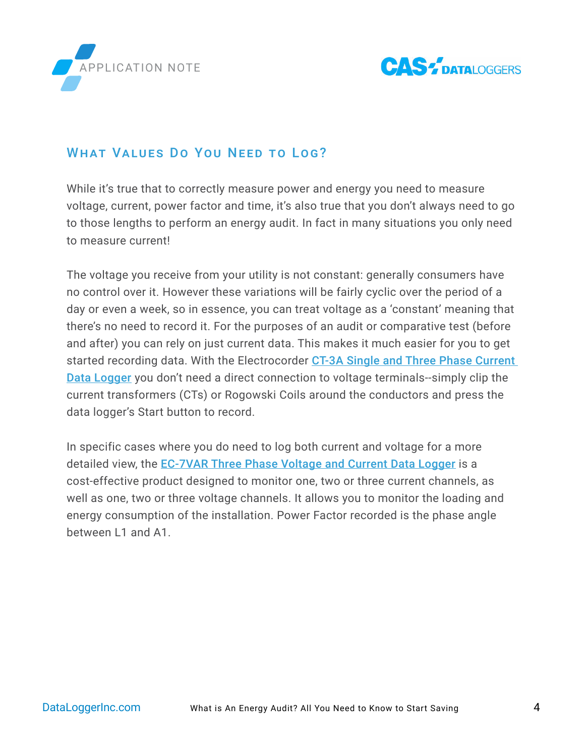



## WHAT VALUES DO YOU NEED TO LOG?

While it's true that to correctly measure power and energy you need to measure voltage, current, power factor and time, it's also true that you don't always need to go to those lengths to perform an energy audit. In fact in many situations you only need to measure current!

The voltage you receive from your utility is not constant: generally consumers have no control over it. However these variations will be fairly cyclic over the period of a day or even a week, so in essence, you can treat voltage as a 'constant' meaning that there's no need to record it. For the purposes of an audit or comparative test (before and after) you can rely on just current data. This makes it much easier for you to get started recording data. With the Electrocorder CT-3A Single and Three Phase Current [Data Logger](https://www.dataloggerinc.com/products/accsense-electrocorder/) you don't need a direct connection to voltage terminals--simply clip the current transformers (CTs) or Rogowski Coils around the conductors and press the data logger's Start button to record.

In specific cases where you do need to log both current and voltage for a more detailed view, the [EC-7VAR Three Phase Voltage and Current Data Logger](https://www.dataloggerinc.com/product/ec-7var-power-energy-data-logger/) is a cost-effective product designed to monitor one, two or three current channels, as well as one, two or three voltage channels. It allows you to monitor the loading and energy consumption of the installation. Power Factor recorded is the phase angle between L1 and A1.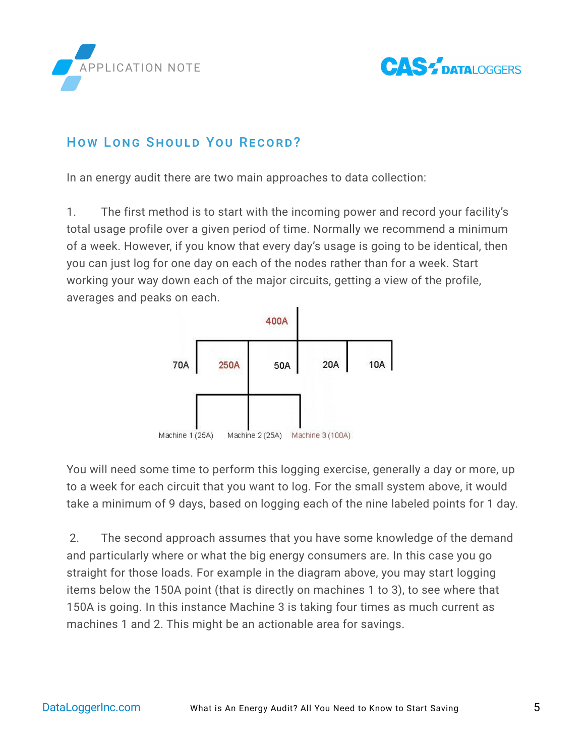



#### How Long Should You Record?

In an energy audit there are two main approaches to data collection:

1. The first method is to start with the incoming power and record your facility's total usage profile over a given period of time. Normally we recommend a minimum of a week. However, if you know that every day's usage is going to be identical, then you can just log for one day on each of the nodes rather than for a week. Start working your way down each of the major circuits, getting a view of the profile, averages and peaks on each.



You will need some time to perform this logging exercise, generally a day or more, up to a week for each circuit that you want to log. For the small system above, it would take a minimum of 9 days, based on logging each of the nine labeled points for 1 day.

 2. The second approach assumes that you have some knowledge of the demand and particularly where or what the big energy consumers are. In this case you go straight for those loads. For example in the diagram above, you may start logging items below the 150A point (that is directly on machines 1 to 3), to see where that 150A is going. In this instance Machine 3 is taking four times as much current as machines 1 and 2. This might be an actionable area for savings.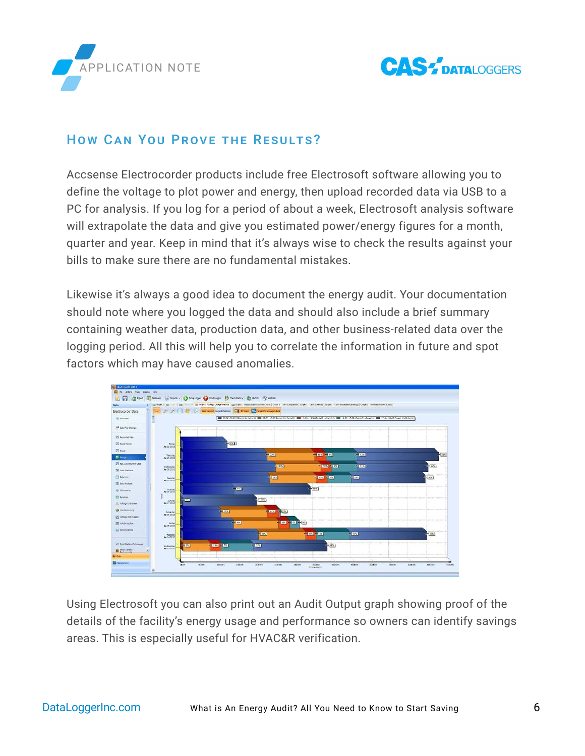



#### HOW CAN YOU PROVE THE RESULTS?

Accsense Electrocorder products include free Electrosoft software allowing you to define the voltage to plot power and energy, then upload recorded data via USB to a PC for analysis. If you log for a period of about a week, Electrosoft analysis software will extrapolate the data and give you estimated power/energy figures for a month, quarter and year. Keep in mind that it's always wise to check the results against your bills to make sure there are no fundamental mistakes.

Likewise it's always a good idea to document the energy audit. Your documentation should note where you logged the data and should also include a brief summary containing weather data, production data, and other business-related data over the logging period. All this will help you to correlate the information in future and spot factors which may have caused anomalies.



Using Electrosoft you can also print out an Audit Output graph showing proof of the details of the facility's energy usage and performance so owners can identify savings areas. This is especially useful for HVAC&R verification.